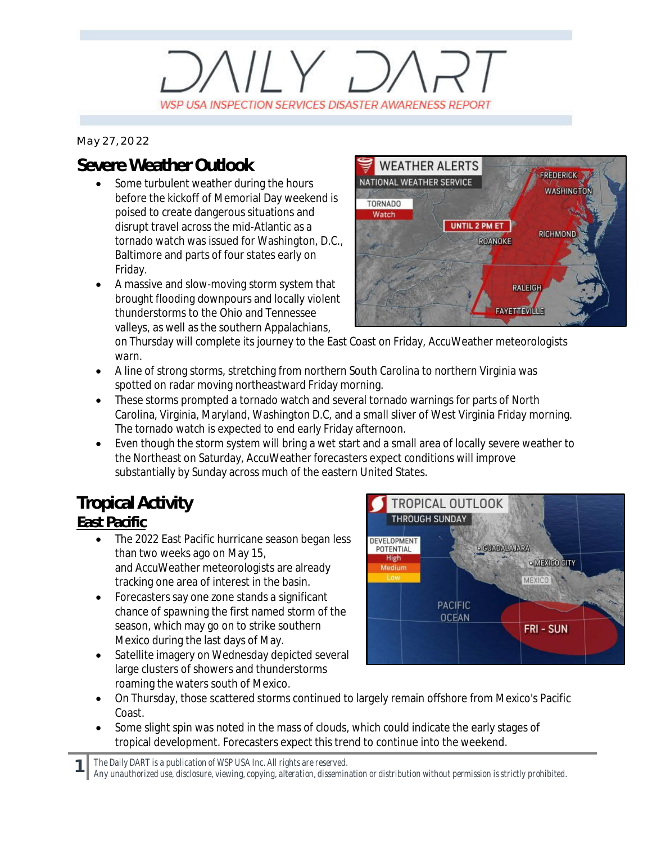# $V/Y$   $D$ WSP USA INSPECTION SERVICES DISASTER AWARENESS REPORT

*May 27, 2022*

### **Severe Weather Outlook**

- · Some turbulent weather during the hours before the kickoff of Memorial Day weekend is poised to create dangerous situations and disrupt travel across the mid-Atlantic as a tornado watch was issued for Washington, D.C., Baltimore and parts of four states early on Friday.
- · A massive and slow-moving storm system that brought flooding downpours and locally violent thunderstorms to the Ohio and Tennessee valleys, as well as the southern Appalachians,



on Thursday will complete its journey to the East Coast on Friday, AccuWeather meteorologists warn.

- · A line of strong storms, stretching from northern South Carolina to northern Virginia was spotted on radar moving northeastward Friday morning.
- · These storms prompted a tornado watch and several tornado warnings for parts of North Carolina, Virginia, Maryland, Washington D.C, and a small sliver of West Virginia Friday morning. The tornado watch is expected to end early Friday afternoon.
- · Even though the storm system will bring a wet start and a small area of locally severe weather to the Northeast on Saturday, AccuWeather forecasters expect conditions will improve substantially by Sunday across much of the eastern United States.

## **Tropical Activity**

#### **East Pacific**

- The 2022 East Pacific hurricane season began less than two weeks ago on May 15, and AccuWeather meteorologists are already tracking one area of interest in the basin.
- Forecasters say one zone stands a significant chance of spawning the first named storm of the season, which may go on to strike southern Mexico during the last days of May.
- Satellite imagery on Wednesday depicted several large clusters of showers and thunderstorms roaming the waters south of Mexico.



- · On Thursday, those scattered storms continued to largely remain offshore from Mexico's Pacific Coast.
- Some slight spin was noted in the mass of clouds, which could indicate the early stages of tropical development. Forecasters expect this trend to continue into the weekend.

**1** *The Daily DART is a publication of WSP USA Inc. All rights are reserved.*

*Any unauthorized use, disclosure, viewing, copying, alteration, dissemination or distribution without permission is strictly prohibited.*